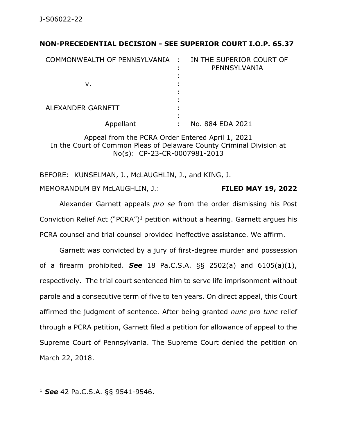## **NON-PRECEDENTIAL DECISION - SEE SUPERIOR COURT I.O.P. 65.37**

| COMMONWEALTH OF PENNSYLVANIA : | IN THE SUPERIOR COURT OF<br>PENNSYLVANIA |
|--------------------------------|------------------------------------------|
| v.                             |                                          |
| ALEXANDER GARNETT              |                                          |
| Appellant                      | No. 884 EDA 2021                         |

Appeal from the PCRA Order Entered April 1, 2021 In the Court of Common Pleas of Delaware County Criminal Division at No(s): CP-23-CR-0007981-2013

BEFORE: KUNSELMAN, J., McLAUGHLIN, J., and KING, J.

MEMORANDUM BY McLAUGHLIN, J.: **FILED MAY 19, 2022**

Alexander Garnett appeals *pro se* from the order dismissing his Post Conviction Relief Act ("PCRA")<sup>1</sup> petition without a hearing. Garnett argues his PCRA counsel and trial counsel provided ineffective assistance. We affirm.

Garnett was convicted by a jury of first-degree murder and possession of a firearm prohibited. *See* 18 Pa.C.S.A. §§ 2502(a) and 6105(a)(1), respectively. The trial court sentenced him to serve life imprisonment without parole and a consecutive term of five to ten years. On direct appeal, this Court affirmed the judgment of sentence. After being granted *nunc pro tunc* relief through a PCRA petition, Garnett filed a petition for allowance of appeal to the Supreme Court of Pennsylvania. The Supreme Court denied the petition on March 22, 2018.

\_\_\_\_\_\_\_\_\_\_\_\_\_\_\_\_\_\_\_\_\_\_\_\_\_\_\_\_\_\_\_\_\_\_\_\_\_\_\_\_\_\_\_\_

<sup>1</sup> *See* 42 Pa.C.S.A. §§ 9541-9546.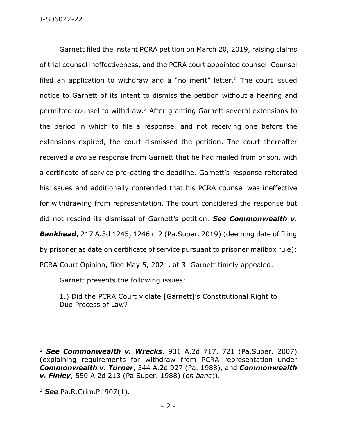Garnett filed the instant PCRA petition on March 20, 2019, raising claims of trial counsel ineffectiveness, and the PCRA court appointed counsel. Counsel filed an application to withdraw and a "no merit" letter.<sup>2</sup> The court issued notice to Garnett of its intent to dismiss the petition without a hearing and permitted counsel to withdraw.<sup>3</sup> After granting Garnett several extensions to the period in which to file a response, and not receiving one before the extensions expired, the court dismissed the petition. The court thereafter received a *pro se* response from Garnett that he had mailed from prison, with a certificate of service pre-dating the deadline. Garnett's response reiterated his issues and additionally contended that his PCRA counsel was ineffective for withdrawing from representation. The court considered the response but did not rescind its dismissal of Garnett's petition. *See Commonwealth v. Bankhead*, 217 A.3d 1245, 1246 n.2 (Pa.Super. 2019) (deeming date of filing by prisoner as date on certificate of service pursuant to prisoner mailbox rule);

PCRA Court Opinion, filed May 5, 2021, at 3. Garnett timely appealed.

Garnett presents the following issues:

1.) Did the PCRA Court violate [Garnett]'s Constitutional Right to Due Process of Law?

<sup>2</sup> *See Commonwealth v. Wrecks*, 931 A.2d 717, 721 (Pa.Super. 2007) (explaining requirements for withdraw from PCRA representation under *Commonwealth v. Turner*, 544 A.2d 927 (Pa. 1988), and *Commonwealth v. Finley*, 550 A.2d 213 (Pa.Super. 1988) (*en banc*)).

<sup>3</sup> *See* Pa.R.Crim.P. 907(1).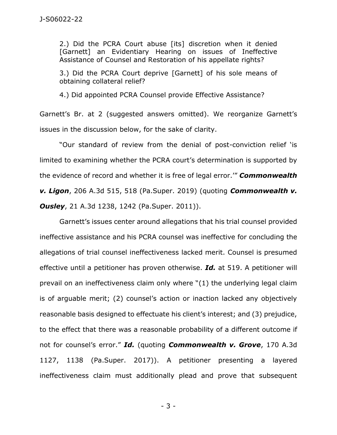2.) Did the PCRA Court abuse [its] discretion when it denied [Garnett] an Evidentiary Hearing on issues of Ineffective Assistance of Counsel and Restoration of his appellate rights?

3.) Did the PCRA Court deprive [Garnett] of his sole means of obtaining collateral relief?

4.) Did appointed PCRA Counsel provide Effective Assistance?

Garnett's Br. at 2 (suggested answers omitted). We reorganize Garnett's issues in the discussion below, for the sake of clarity.

"Our standard of review from the denial of post-conviction relief 'is limited to examining whether the PCRA court's determination is supported by the evidence of record and whether it is free of legal error.'" *Commonwealth v. Ligon*, 206 A.3d 515, 518 (Pa.Super. 2019) (quoting *Commonwealth v. Ousley*, 21 A.3d 1238, 1242 (Pa.Super. 2011)).

Garnett's issues center around allegations that his trial counsel provided ineffective assistance and his PCRA counsel was ineffective for concluding the allegations of trial counsel ineffectiveness lacked merit. Counsel is presumed effective until a petitioner has proven otherwise. *Id.* at 519. A petitioner will prevail on an ineffectiveness claim only where "(1) the underlying legal claim is of arguable merit; (2) counsel's action or inaction lacked any objectively reasonable basis designed to effectuate his client's interest; and (3) prejudice, to the effect that there was a reasonable probability of a different outcome if not for counsel's error." *Id.* (quoting *Commonwealth v. Grove*, 170 A.3d 1127, 1138 (Pa.Super. 2017)). A petitioner presenting a layered ineffectiveness claim must additionally plead and prove that subsequent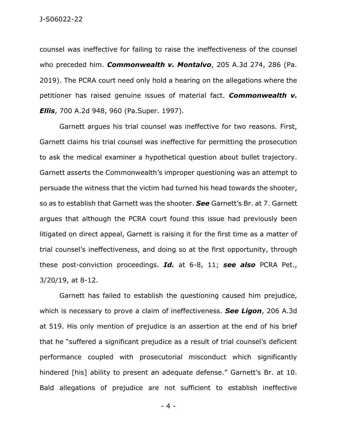counsel was ineffective for failing to raise the ineffectiveness of the counsel who preceded him. *Commonwealth v. Montalvo*, 205 A.3d 274, 286 (Pa. 2019). The PCRA court need only hold a hearing on the allegations where the petitioner has raised genuine issues of material fact. *Commonwealth v. Ellis*, 700 A.2d 948, 960 (Pa.Super. 1997).

Garnett argues his trial counsel was ineffective for two reasons. First, Garnett claims his trial counsel was ineffective for permitting the prosecution to ask the medical examiner a hypothetical question about bullet trajectory. Garnett asserts the Commonwealth's improper questioning was an attempt to persuade the witness that the victim had turned his head towards the shooter, so as to establish that Garnett was the shooter. *See* Garnett's Br. at 7. Garnett argues that although the PCRA court found this issue had previously been litigated on direct appeal, Garnett is raising it for the first time as a matter of trial counsel's ineffectiveness, and doing so at the first opportunity, through these post-conviction proceedings. *Id.* at 6-8, 11; *see also* PCRA Pet., 3/20/19, at 8-12.

Garnett has failed to establish the questioning caused him prejudice, which is necessary to prove a claim of ineffectiveness. *See Ligon*, 206 A.3d at 519. His only mention of prejudice is an assertion at the end of his brief that he "suffered a significant prejudice as a result of trial counsel's deficient performance coupled with prosecutorial misconduct which significantly hindered [his] ability to present an adequate defense." Garnett's Br. at 10. Bald allegations of prejudice are not sufficient to establish ineffective

- 4 -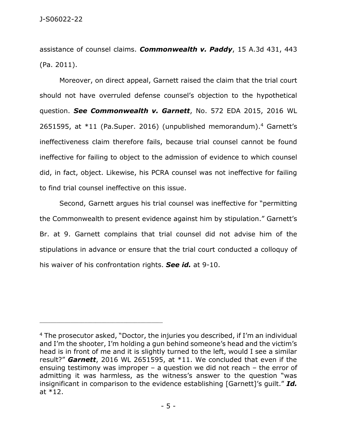assistance of counsel claims. *Commonwealth v. Paddy*, 15 A.3d 431, 443 (Pa. 2011).

Moreover, on direct appeal, Garnett raised the claim that the trial court should not have overruled defense counsel's objection to the hypothetical question. *See Commonwealth v. Garnett*, No. 572 EDA 2015, 2016 WL 2651595, at \*11 (Pa.Super. 2016) (unpublished memorandum). <sup>4</sup> Garnett's ineffectiveness claim therefore fails, because trial counsel cannot be found ineffective for failing to object to the admission of evidence to which counsel did, in fact, object. Likewise, his PCRA counsel was not ineffective for failing to find trial counsel ineffective on this issue.

Second, Garnett argues his trial counsel was ineffective for "permitting the Commonwealth to present evidence against him by stipulation." Garnett's Br. at 9. Garnett complains that trial counsel did not advise him of the stipulations in advance or ensure that the trial court conducted a colloquy of his waiver of his confrontation rights. *See id.* at 9-10.

<sup>4</sup> The prosecutor asked, "Doctor, the injuries you described, if I'm an individual and I'm the shooter, I'm holding a gun behind someone's head and the victim's head is in front of me and it is slightly turned to the left, would I see a similar result?" *Garnett*, 2016 WL 2651595, at \*11. We concluded that even if the ensuing testimony was improper – a question we did not reach – the error of admitting it was harmless, as the witness's answer to the question "was insignificant in comparison to the evidence establishing [Garnett]'s guilt." *Id.* at \*12.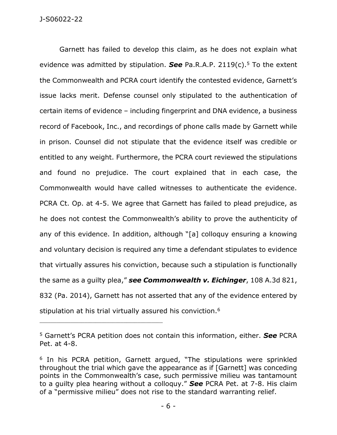Garnett has failed to develop this claim, as he does not explain what evidence was admitted by stipulation. *See* Pa.R.A.P. 2119(c).<sup>5</sup> To the extent the Commonwealth and PCRA court identify the contested evidence, Garnett's issue lacks merit. Defense counsel only stipulated to the authentication of certain items of evidence – including fingerprint and DNA evidence, a business record of Facebook, Inc., and recordings of phone calls made by Garnett while in prison. Counsel did not stipulate that the evidence itself was credible or entitled to any weight. Furthermore, the PCRA court reviewed the stipulations and found no prejudice. The court explained that in each case, the Commonwealth would have called witnesses to authenticate the evidence. PCRA Ct. Op. at 4-5. We agree that Garnett has failed to plead prejudice, as he does not contest the Commonwealth's ability to prove the authenticity of any of this evidence. In addition, although "[a] colloquy ensuring a knowing and voluntary decision is required any time a defendant stipulates to evidence that virtually assures his conviction, because such a stipulation is functionally the same as a guilty plea," *see Commonwealth v. Eichinger*, 108 A.3d 821, 832 (Pa. 2014), Garnett has not asserted that any of the evidence entered by stipulation at his trial virtually assured his conviction.<sup>6</sup>

<sup>5</sup> Garnett's PCRA petition does not contain this information, either. *See* PCRA Pet. at 4-8.

<sup>&</sup>lt;sup>6</sup> In his PCRA petition, Garnett argued, "The stipulations were sprinkled throughout the trial which gave the appearance as if [Garnett] was conceding points in the Commonwealth's case, such permissive milieu was tantamount to a guilty plea hearing without a colloquy." *See* PCRA Pet. at 7-8. His claim of a "permissive milieu" does not rise to the standard warranting relief.